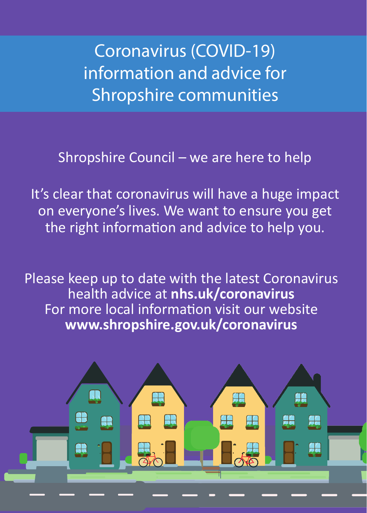**Coronavirus (COVID-19) information and advice for Shropshire communities**

Shropshire Council – we are here to help

It's clear that coronavirus will have a huge impact on everyone's lives. We want to ensure you get the right information and advice to help you.

Please keep up to date with the latest Coronavirus health advice at **nhs.uk/coronavirus** For more local information visit our website **www.shropshire.gov.uk/coronavirus**